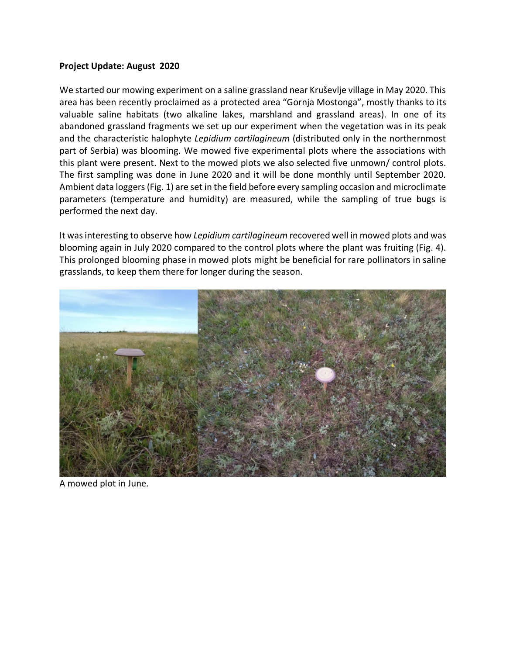## **Project Update: August 2020**

We started our mowing experiment on a saline grassland near Kruševlje village in May 2020. This area has been recently proclaimed as a protected area "Gornja Mostonga", mostly thanks to its valuable saline habitats (two alkaline lakes, marshland and grassland areas). In one of its abandoned grassland fragments we set up our experiment when the vegetation was in its peak and the characteristic halophyte *Lepidium cartilagineum* (distributed only in the northernmost part of Serbia) was blooming. We mowed five experimental plots where the associations with this plant were present. Next to the mowed plots we also selected five unmown/ control plots. The first sampling was done in June 2020 and it will be done monthly until September 2020. Ambient data loggers (Fig. 1) are set in the field before every sampling occasion and microclimate parameters (temperature and humidity) are measured, while the sampling of true bugs is performed the next day.

It was interesting to observe how *Lepidium cartilagineum* recovered well in mowed plots and was blooming again in July 2020 compared to the control plots where the plant was fruiting (Fig. 4). This prolonged blooming phase in mowed plots might be beneficial for rare pollinators in saline grasslands, to keep them there for longer during the season.



A mowed plot in June.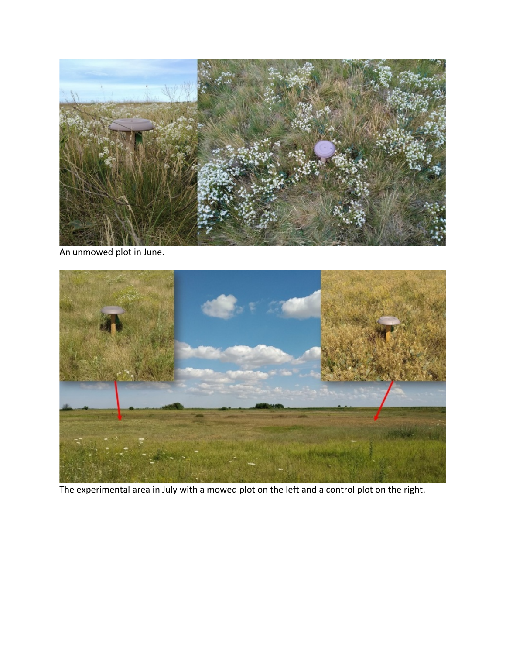

An unmowed plot in June.



The experimental area in July with a mowed plot on the left and a control plot on the right.